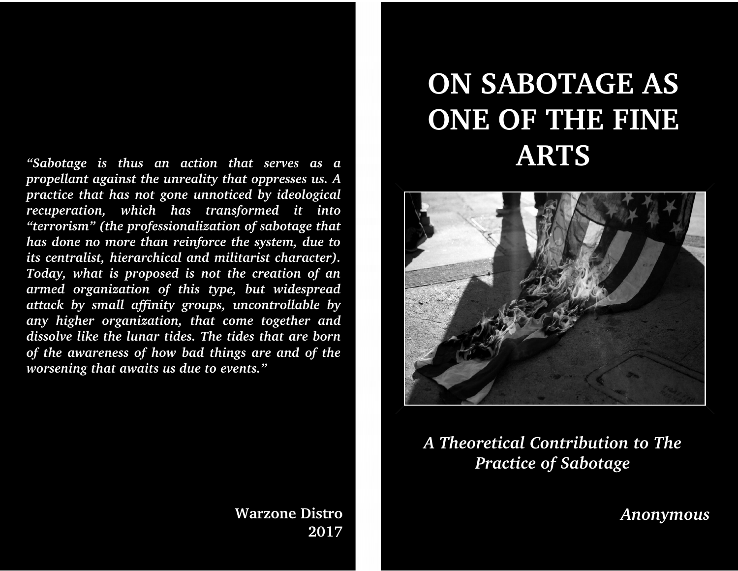*"Sabotage is thus an action that serves as a propellant against the unreality that oppresses us. A practice that has not gone unnoticed by ideological recuperation, which has transformed it into "terrorism" (the professionalization of sabotage that has done no more than reinforce the system, due to its centralist, hierarchical and militarist character). Today, what is proposed is not the creation of an armed organization of this type, but widespread attack by small affinity groups, uncontrollable by any higher organization, that come together and dissolve like the lunar tides. The tides that are born of the awareness of how bad things are and of the worsening that awaits us due to events."*

## **Warzone Distro 2017**

# **ON SABOTAGE AS ONE OF THE FINE ARTS**



*A Theoretical Contribution to The Practice of Sabotage*

*Anonymous*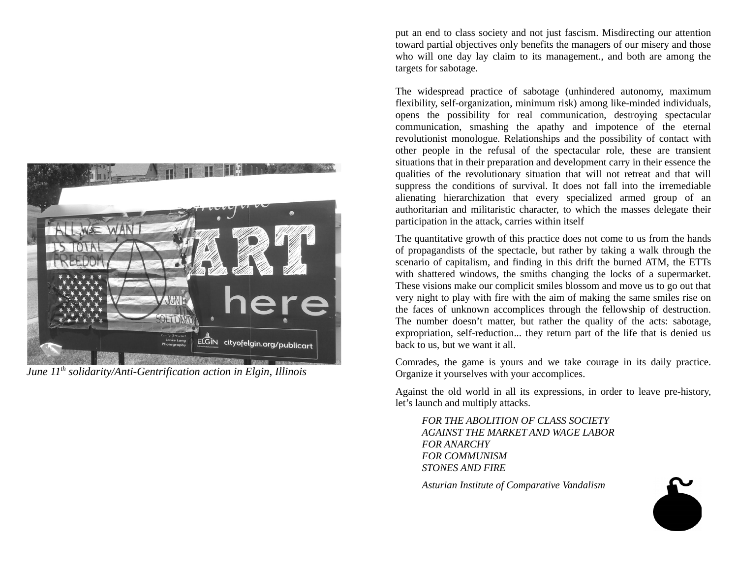

*June 11th solidarity/Anti-Gentrification action in Elgin, Illinois*

put an end to class society and not just fascism. Misdirecting our attention toward partial objectives only benefits the managers of our misery and those who will one day lay claim to its management., and both are among the targets for sabotage.

The widespread practice of sabotage (unhindered autonomy, maximum flexibility, self-organization, minimum risk) among like-minded individuals, opens the possibility for real communication, destroying spectacular communication, smashing the apathy and impotence of the eternal revolutionist monologue. Relationships and the possibility of contact with other people in the refusal of the spectacular role, these are transient situations that in their preparation and development carry in their essence the qualities of the revolutionary situation that will not retreat and that will suppress the conditions of survival. It does not fall into the irremediable alienating hierarchization that every specialized armed group of an authoritarian and militaristic character, to which the masses delegate their participation in the attack, carries within itself

The quantitative growth of this practice does not come to us from the hands of propagandists of the spectacle, but rather by taking a walk through the scenario of capitalism, and finding in this drift the burned ATM, the ETTs with shattered windows, the smiths changing the locks of a supermarket. These visions make our complicit smiles blossom and move us to go out that very night to play with fire with the aim of making the same smiles rise on the faces of unknown accomplices through the fellowship of destruction. The number doesn't matter, but rather the quality of the acts: sabotage, expropriation, self-reduction... they return part of the life that is denied us back to us, but we want it all.

Comrades, the game is yours and we take courage in its daily practice. Organize it yourselves with your accomplices.

Against the old world in all its expressions, in order to leave pre-history, let's launch and multiply attacks.

*FOR THE ABOLITION OF CLASS SOCIETY AGAINST THE MARKET AND WAGE LABOR FOR ANARCHY FOR COMMUNISM STONES AND FIRE*

*Asturian Institute of Comparative Vandalism*

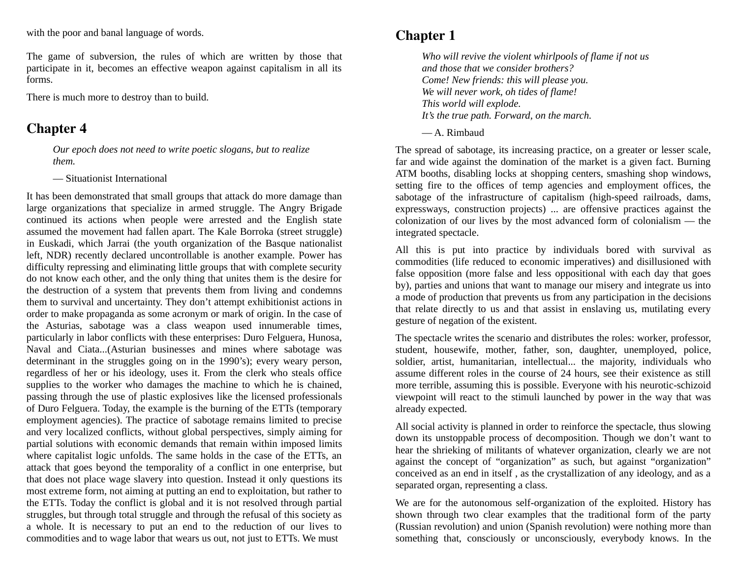with the poor and banal language of words.

The game of subversion, the rules of which are written by those that participate in it, becomes an effective weapon against capitalism in all its forms.

There is much more to destroy than to build.

#### Chapter 4

*Our epoch does not need to write poetic slogans, but to realize them.*

— Situationist International

It has been demonstrated that small groups that attack do more damage than large organizations that specialize in armed struggle. The Angry Brigade continued its actions when people were arrested and the English state assumed the movement had fallen apart. The Kale Borroka (street struggle) in Euskadi, which Jarrai (the youth organization of the Basque nationalist left, NDR) recently declared uncontrollable is another example. Power has difficulty repressing and eliminating little groups that with complete security do not know each other, and the only thing that unites them is the desire for the destruction of a system that prevents them from living and condemns them to survival and uncertainty. They don't attempt exhibitionist actions in order to make propaganda as some acronym or mark of origin. In the case of the Asturias, sabotage was a class weapon used innumerable times, particularly in labor conflicts with these enterprises: Duro Felguera, Hunosa, Naval and Ciata...(Asturian businesses and mines where sabotage was determinant in the struggles going on in the 1990's); every weary person, regardless of her or his ideology, uses it. From the clerk who steals office supplies to the worker who damages the machine to which he is chained, passing through the use of plastic explosives like the licensed professionals of Duro Felguera. Today, the example is the burning of the ETTs (temporary employment agencies). The practice of sabotage remains limited to precise and very localized conflicts, without global perspectives, simply aiming for partial solutions with economic demands that remain within imposed limits where capitalist logic unfolds. The same holds in the case of the ETTs, an attack that goes beyond the temporality of a conflict in one enterprise, but that does not place wage slavery into question. Instead it only questions its most extreme form, not aiming at putting an end to exploitation, but rather to the ETTs. Today the conflict is global and it is not resolved through partial struggles, but through total struggle and through the refusal of this society as a whole. It is necessary to put an end to the reduction of our lives to commodities and to wage labor that wears us out, not just to ETTs. We must

### Chapter 1

*Who will revive the violent whirlpools of flame if not us and those that we consider brothers? Come! New friends: this will please you. We will never work, oh tides of flame! This world will explode. It's the true path. Forward, on the march.*

— A. Rimbaud

The spread of sabotage, its increasing practice, on a greater or lesser scale, far and wide against the domination of the market is a given fact. Burning ATM booths, disabling locks at shopping centers, smashing shop windows, setting fire to the offices of temp agencies and employment offices, the sabotage of the infrastructure of capitalism (high-speed railroads, dams, expressways, construction projects) ... are offensive practices against the colonization of our lives by the most advanced form of colonialism — the integrated spectacle.

All this is put into practice by individuals bored with survival as commodities (life reduced to economic imperatives) and disillusioned with false opposition (more false and less oppositional with each day that goes by), parties and unions that want to manage our misery and integrate us into a mode of production that prevents us from any participation in the decisions that relate directly to us and that assist in enslaving us, mutilating every gesture of negation of the existent.

The spectacle writes the scenario and distributes the roles: worker, professor, student, housewife, mother, father, son, daughter, unemployed, police, soldier, artist, humanitarian, intellectual... the majority, individuals who assume different roles in the course of 24 hours, see their existence as still more terrible, assuming this is possible. Everyone with his neurotic-schizoid viewpoint will react to the stimuli launched by power in the way that was already expected.

All social activity is planned in order to reinforce the spectacle, thus slowing down its unstoppable process of decomposition. Though we don't want to hear the shrieking of militants of whatever organization, clearly we are not against the concept of "organization" as such, but against "organization" conceived as an end in itself , as the crystallization of any ideology, and as a separated organ, representing a class.

We are for the autonomous self-organization of the exploited. History has shown through two clear examples that the traditional form of the party (Russian revolution) and union (Spanish revolution) were nothing more than something that, consciously or unconsciously, everybody knows. In the